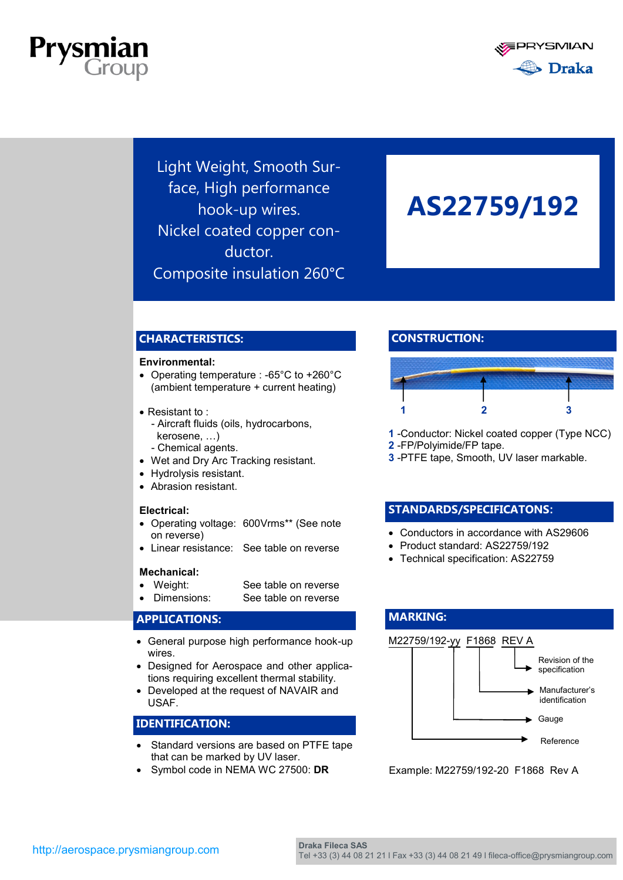



Light Weight, Smooth Surface, High performance hook-up wires. Nickel coated copper conductor. Composite insulation 260°C

# **AS22759/192**

#### **CHARACTERISTICS:**

#### **Environmental:**

- Operating temperature : -65°C to +260°C (ambient temperature + current heating)
- Resistant to:
	- Aircraft fluids (oils, hydrocarbons, kerosene, …)
	- Chemical agents.
- Wet and Dry Arc Tracking resistant.
- Hydrolysis resistant.
- Abrasion resistant.

#### **Electrical:**

- Operating voltage: 600Vrms\*\* (See note on reverse)
- Linear resistance: See table on reverse

#### **Mechanical:**

- Weight: See table on reverse
- Dimensions: See table on reverse

#### **APPLICATIONS:**

- General purpose high performance hook-up wires.
- Designed for Aerospace and other applications requiring excellent thermal stability.
- Developed at the request of NAVAIR and USAF.

#### **IDENTIFICATION:**

- Standard versions are based on PTFE tape that can be marked by UV laser.
- Symbol code in NEMA WC 27500: **DR**

#### **CONSTRUCTION:**



- **1** -Conductor: Nickel coated copper (Type NCC)
- **2** -FP/Polyimide/FP tape.

**MARKING:**

**3** -PTFE tape, Smooth, UV laser markable.

#### **STANDARDS/SPECIFICATONS:**

- Conductors in accordance with AS29606
- Product standard: AS22759/192
- Technical specification: AS22759

### M22759/192-yy F1868 REV A Manufacturer's identification Gauge Reference Revision of the specification

Example: M22759/192-20 F1868 Rev A